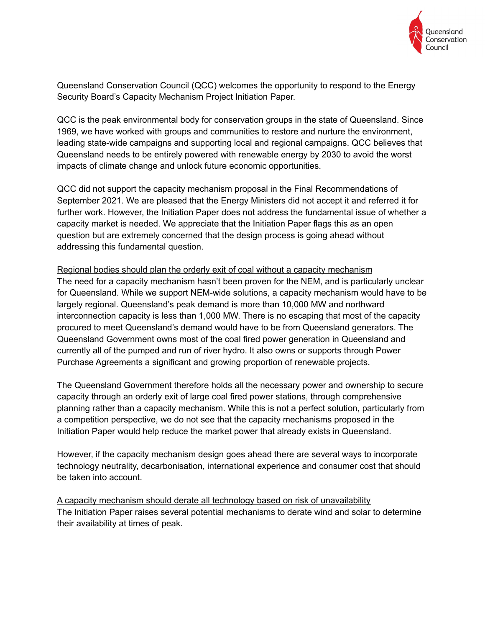

Queensland Conservation Council (QCC) welcomes the opportunity to respond to the Energy Security Board's Capacity Mechanism Project Initiation Paper.

QCC is the peak environmental body for conservation groups in the state of Queensland. Since 1969, we have worked with groups and communities to restore and nurture the environment, leading state-wide campaigns and supporting local and regional campaigns. QCC believes that Queensland needs to be entirely powered with renewable energy by 2030 to avoid the worst impacts of climate change and unlock future economic opportunities.

QCC did not support the capacity mechanism proposal in the Final Recommendations of September 2021. We are pleased that the Energy Ministers did not accept it and referred it for further work. However, the Initiation Paper does not address the fundamental issue of whether a capacity market is needed. We appreciate that the Initiation Paper flags this as an open question but are extremely concerned that the design process is going ahead without addressing this fundamental question.

Regional bodies should plan the orderly exit of coal without a capacity mechanism The need for a capacity mechanism hasn't been proven for the NEM, and is particularly unclear for Queensland. While we support NEM-wide solutions, a capacity mechanism would have to be largely regional. Queensland's peak demand is more than 10,000 MW and northward interconnection capacity is less than 1,000 MW. There is no escaping that most of the capacity procured to meet Queensland's demand would have to be from Queensland generators. The Queensland Government owns most of the coal fired power generation in Queensland and currently all of the pumped and run of river hydro. It also owns or supports through Power Purchase Agreements a significant and growing proportion of renewable projects.

The Queensland Government therefore holds all the necessary power and ownership to secure capacity through an orderly exit of large coal fired power stations, through comprehensive planning rather than a capacity mechanism. While this is not a perfect solution, particularly from a competition perspective, we do not see that the capacity mechanisms proposed in the Initiation Paper would help reduce the market power that already exists in Queensland.

However, if the capacity mechanism design goes ahead there are several ways to incorporate technology neutrality, decarbonisation, international experience and consumer cost that should be taken into account.

A capacity mechanism should derate all technology based on risk of unavailability The Initiation Paper raises several potential mechanisms to derate wind and solar to determine their availability at times of peak.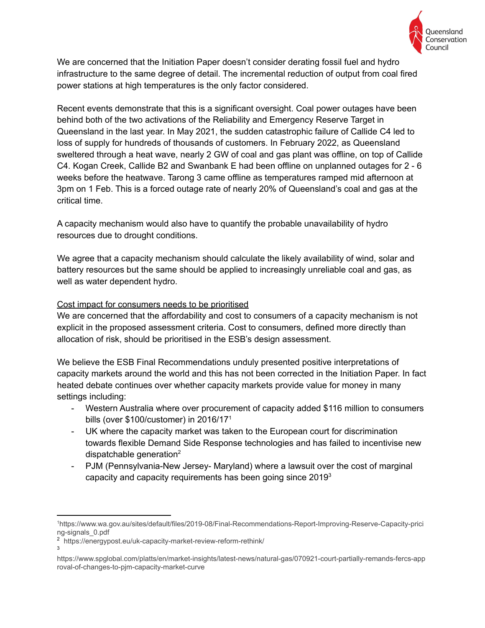

We are concerned that the Initiation Paper doesn't consider derating fossil fuel and hydro infrastructure to the same degree of detail. The incremental reduction of output from coal fired power stations at high temperatures is the only factor considered.

Recent events demonstrate that this is a significant oversight. Coal power outages have been behind both of the two activations of the Reliability and Emergency Reserve Target in Queensland in the last year. In May 2021, the sudden catastrophic failure of Callide C4 led to loss of supply for hundreds of thousands of customers. In February 2022, as Queensland sweltered through a heat wave, nearly 2 GW of coal and gas plant was offline, on top of Callide C4. Kogan Creek, Callide B2 and Swanbank E had been offline on unplanned outages for 2 - 6 weeks before the heatwave. Tarong 3 came offline as temperatures ramped mid afternoon at 3pm on 1 Feb. This is a forced outage rate of nearly 20% of Queensland's coal and gas at the critical time.

A capacity mechanism would also have to quantify the probable unavailability of hydro resources due to drought conditions.

We agree that a capacity mechanism should calculate the likely availability of wind, solar and battery resources but the same should be applied to increasingly unreliable coal and gas, as well as water dependent hydro.

## Cost impact for consumers needs to be prioritised

We are concerned that the affordability and cost to consumers of a capacity mechanism is not explicit in the proposed assessment criteria. Cost to consumers, defined more directly than allocation of risk, should be prioritised in the ESB's design assessment.

We believe the ESB Final Recommendations unduly presented positive interpretations of capacity markets around the world and this has not been corrected in the Initiation Paper. In fact heated debate continues over whether capacity markets provide value for money in many settings including:

- Western Australia where over procurement of capacity added \$116 million to consumers bills (over \$100/customer) in 2016/17<sup>1</sup>
- UK where the capacity market was taken to the European court for discrimination towards flexible Demand Side Response technologies and has failed to incentivise new dispatchable generation $2$
- PJM (Pennsylvania-New Jersey- Maryland) where a lawsuit over the cost of marginal capacity and capacity requirements has been going since  $2019<sup>3</sup>$

3

<sup>1</sup>https://www.wa.gov.au/sites/default/files/2019-08/Final-Recommendations-Report-Improving-Reserve-Capacity-prici ng-signals\_0.pdf

<sup>2</sup> https://energypost.eu/uk-capacity-market-review-reform-rethink/

https://www.spglobal.com/platts/en/market-insights/latest-news/natural-gas/070921-court-partially-remands-fercs-app roval-of-changes-to-pjm-capacity-market-curve